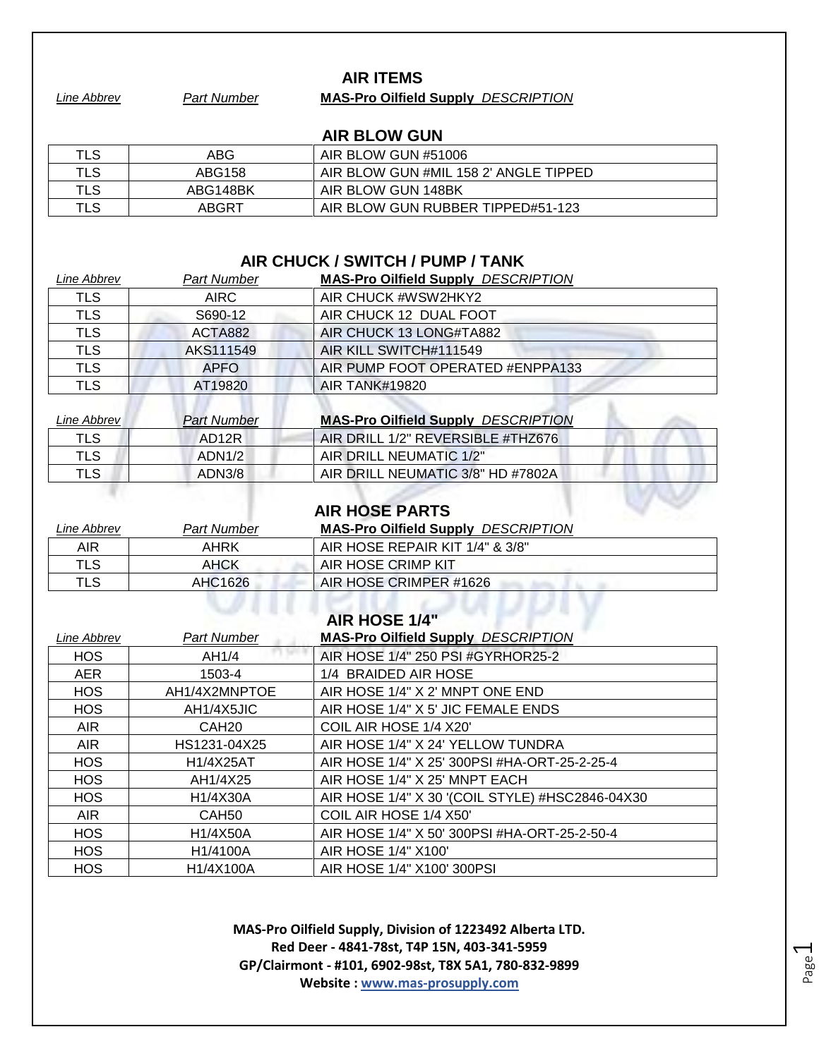#### **AIR ITEMS**

*Line Abbrev Part Number* **MAS-Pro Oilfield Supply** *DESCRIPTION*

# **AIR BLOW GUN**

| TLS | ABG      | AIR BLOW GUN #51006                   |
|-----|----------|---------------------------------------|
| TLS | ABG158   | AIR BLOW GUN #MIL 158 2' ANGLE TIPPED |
| TLS | ABG148BK | AIR BLOW GUN 148BK                    |
| TLS | ABGRT    | AIR BLOW GUN RUBBER TIPPED#51-123     |

# **AIR CHUCK / SWITCH / PUMP / TANK**

| Line Abbrev | <b>Part Number</b> | <b>MAS-Pro Oilfield Supply DESCRIPTION</b> |
|-------------|--------------------|--------------------------------------------|
| TLS         | <b>AIRC</b>        | AIR CHUCK #WSW2HKY2                        |
| <b>TLS</b>  | S690-12            | AIR CHUCK 12 DUAL FOOT                     |
| <b>TLS</b>  | ACTA882            | AIR CHUCK 13 LONG#TA882                    |
| <b>TLS</b>  | AKS111549          | AIR KILL SWITCH#111549                     |
| <b>TLS</b>  | <b>APFO</b>        | AIR PUMP FOOT OPERATED #ENPPA133           |
| <b>TLS</b>  | AT19820            | <b>AIR TANK#19820</b>                      |
|             |                    |                                            |

| Line Abbrev | <b>Part Number</b> | <b>MAS-Pro Oilfield Supply DESCRIPTION</b> |
|-------------|--------------------|--------------------------------------------|
| TLS         | AD <sub>12</sub> R | AIR DRILL 1/2" REVERSIBLE #THZ676          |
| TLS         | ADN1/2             | AIR DRILL NEUMATIC 1/2"                    |
| TLS.        | ADN3/8             | AIR DRILL NEUMATIC 3/8" HD #7802A          |
|             |                    |                                            |

|  | <b>AIR HOSE PARTS</b> |  |
|--|-----------------------|--|
|--|-----------------------|--|

| Line Abbrev | Part Number   | <b>MAS-Pro Oilfield Supply DESCRIPTION</b> |  |
|-------------|---------------|--------------------------------------------|--|
| AIR         | AHRK          | AIR HOSE REPAIR KIT 1/4" & 3/8"            |  |
| TLS         | <b>AHCK</b>   | AIR HOSE CRIMP KIT                         |  |
| TLS         | AHC1626       | AIR HOSE CRIMPER #1626                     |  |
|             |               |                                            |  |
|             | AID HOCE 4/48 |                                            |  |

|             |                    | AIR HUSE 1/4                                    |
|-------------|--------------------|-------------------------------------------------|
| Line Abbrev | <b>Part Number</b> | <b>MAS-Pro Oilfield Supply DESCRIPTION</b>      |
| <b>HOS</b>  | AH1/4              | AIR HOSE 1/4" 250 PSI #GYRHOR25-2               |
| <b>AER</b>  | 1503-4             | 1/4 BRAIDED AIR HOSE                            |
| HOS         | AH1/4X2MNPTOE      | AIR HOSE 1/4" X 2' MNPT ONE END                 |
| HOS         | AH1/4X5JIC         | AIR HOSE 1/4" X 5' JIC FEMALE ENDS              |
| AIR.        | CAH <sub>20</sub>  | COIL AIR HOSE 1/4 X20'                          |
| AIR.        | HS1231-04X25       | AIR HOSE 1/4" X 24' YELLOW TUNDRA               |
| <b>HOS</b>  | H1/4X25AT          | AIR HOSE 1/4" X 25' 300PSI #HA-ORT-25-2-25-4    |
| <b>HOS</b>  | AH1/4X25           | AIR HOSE 1/4" X 25' MNPT EACH                   |
| <b>HOS</b>  | H1/4X30A           | AIR HOSE 1/4" X 30 '(COIL STYLE) #HSC2846-04X30 |
| AIR.        | CAH <sub>50</sub>  | COIL AIR HOSE 1/4 X50'                          |
| <b>HOS</b>  | H1/4X50A           | AIR HOSE 1/4" X 50' 300PSI #HA-ORT-25-2-50-4    |
| HOS         | H1/4100A           | AIR HOSE 1/4" X100'                             |
| <b>HOS</b>  | H1/4X100A          | AIR HOSE 1/4" X100' 300PSI                      |
|             |                    |                                                 |

**MAS-Pro Oilfield Supply, Division of 1223492 Alberta LTD. Red Deer - 4841-78st, T4P 15N, 403-341-5959 GP/Clairmont - #101, 6902-98st, T8X 5A1, 780-832-9899 Website : www.mas-prosupply.com**

Page  $\overline{\phantom{0}}$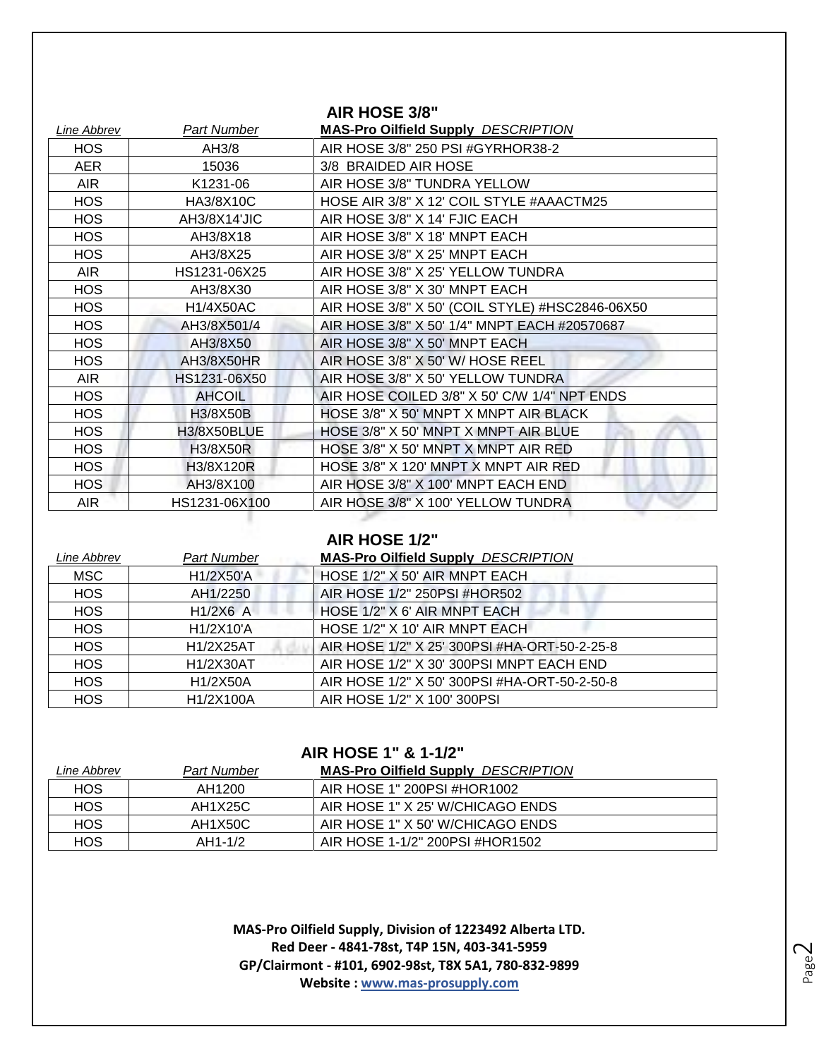|             |               | AIR HOSE 3/8"                                   |
|-------------|---------------|-------------------------------------------------|
| Line Abbrev | Part Number   | <b>MAS-Pro Oilfield Supply DESCRIPTION</b>      |
| <b>HOS</b>  | AH3/8         | AIR HOSE 3/8" 250 PSI #GYRHOR38-2               |
| <b>AER</b>  | 15036         | 3/8 BRAIDED AIR HOSE                            |
| <b>AIR</b>  | K1231-06      | AIR HOSE 3/8" TUNDRA YELLOW                     |
| <b>HOS</b>  | HA3/8X10C     | HOSE AIR 3/8" X 12' COIL STYLE #AAACTM25        |
| <b>HOS</b>  | AH3/8X14'JIC  | AIR HOSE 3/8" X 14' FJIC EACH                   |
| <b>HOS</b>  | AH3/8X18      | AIR HOSE 3/8" X 18' MNPT EACH                   |
| <b>HOS</b>  | AH3/8X25      | AIR HOSE 3/8" X 25' MNPT EACH                   |
| <b>AIR</b>  | HS1231-06X25  | AIR HOSE 3/8" X 25' YELLOW TUNDRA               |
| <b>HOS</b>  | AH3/8X30      | AIR HOSE 3/8" X 30' MNPT EACH                   |
| <b>HOS</b>  | H1/4X50AC     | AIR HOSE 3/8" X 50' (COIL STYLE) #HSC2846-06X50 |
| <b>HOS</b>  | AH3/8X501/4   | AIR HOSE 3/8" X 50' 1/4" MNPT EACH #20570687    |
| <b>HOS</b>  | AH3/8X50      | AIR HOSE 3/8" X 50' MNPT EACH                   |
| <b>HOS</b>  | AH3/8X50HR    | AIR HOSE 3/8" X 50' W/ HOSE REEL                |
| AIR.        | HS1231-06X50  | AIR HOSE 3/8" X 50' YELLOW TUNDRA               |
| <b>HOS</b>  | <b>AHCOIL</b> | AIR HOSE COILED 3/8" X 50" C/W 1/4" NPT ENDS    |
| <b>HOS</b>  | H3/8X50B      | HOSE 3/8" X 50' MNPT X MNPT AIR BLACK           |
| <b>HOS</b>  | H3/8X50BLUE   | HOSE 3/8" X 50' MNPT X MNPT AIR BLUE            |
| <b>HOS</b>  | H3/8X50R      | HOSE 3/8" X 50' MNPT X MNPT AIR RED             |
| HOS         | H3/8X120R     | HOSE 3/8" X 120' MNPT X MNPT AIR RED            |
| <b>HOS</b>  | AH3/8X100     | AIR HOSE 3/8" X 100' MNPT EACH END              |
| <b>AIR</b>  | HS1231-06X100 | AIR HOSE 3/8" X 100' YELLOW TUNDRA              |
|             |               |                                                 |

### **AIR HOSE 1/2"**

| Line Abbrev | <b>Part Number</b> | <b>MAS-Pro Oilfield Supply DESCRIPTION</b>   |
|-------------|--------------------|----------------------------------------------|
| <b>MSC</b>  | H1/2X50'A          | HOSE 1/2" X 50' AIR MNPT EACH                |
| <b>HOS</b>  | AH1/2250           | AIR HOSE 1/2" 250PSI #HOR502                 |
| <b>HOS</b>  | $H1/2X6$ A         | HOSE 1/2" X 6' AIR MNPT EACH                 |
| <b>HOS</b>  | H1/2X10'A          | HOSE 1/2" X 10' AIR MNPT EACH                |
| <b>HOS</b>  | H1/2X25AT          | AIR HOSE 1/2" X 25' 300PSI #HA-ORT-50-2-25-8 |
| <b>HOS</b>  | H1/2X30AT          | AIR HOSE 1/2" X 30' 300PSI MNPT EACH END     |
| <b>HOS</b>  | H1/2X50A           | AIR HOSE 1/2" X 50' 300PSI #HA-ORT-50-2-50-8 |
| <b>HOS</b>  | H1/2X100A          | AIR HOSE 1/2" X 100' 300PSI                  |

# **AIR HOSE 1" & 1-1/2"**

| Line Abbrev | <b>Part Number</b> | <b>MAS-Pro Oilfield Supply DESCRIPTION</b> |
|-------------|--------------------|--------------------------------------------|
| <b>HOS</b>  | AH1200             | AIR HOSE 1" 200PSI #HOR1002                |
| <b>HOS</b>  | AH1X25C            | AIR HOSE 1" X 25' W/CHICAGO ENDS           |
| <b>HOS</b>  | AH1X50C            | AIR HOSE 1" X 50' W/CHICAGO ENDS           |
| HOS         | AH1-1/2            | AIR HOSE 1-1/2" 200PSI #HOR1502            |
|             |                    |                                            |

**MAS-Pro Oilfield Supply, Division of 1223492 Alberta LTD. Red Deer - 4841-78st, T4P 15N, 403-341-5959 GP/Clairmont - #101, 6902-98st, T8X 5A1, 780-832-9899 Website : www.mas-prosupply.com**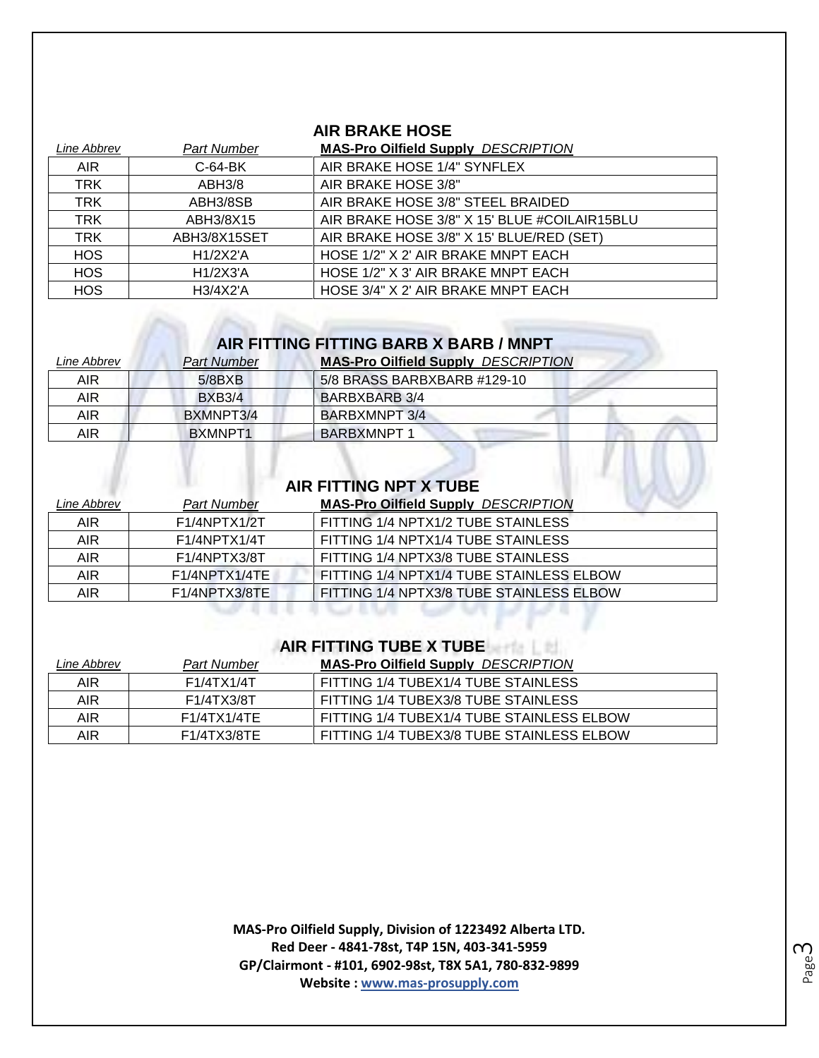# **AIR BRAKE HOSE**

| Line Abbrev | <b>Part Number</b>    | <b>MAS-Pro Oilfield Supply DESCRIPTION</b>   |
|-------------|-----------------------|----------------------------------------------|
| <b>AIR</b>  | $C-64-BK$             | AIR BRAKE HOSE 1/4" SYNFLEX                  |
| <b>TRK</b>  | ABH3/8                | AIR BRAKE HOSE 3/8"                          |
| <b>TRK</b>  | ABH3/8SB              | AIR BRAKE HOSE 3/8" STEEL BRAIDED            |
| <b>TRK</b>  | ABH3/8X15             | AIR BRAKE HOSE 3/8" X 15' BLUE #COILAIR15BLU |
| <b>TRK</b>  | ABH3/8X15SET          | AIR BRAKE HOSE 3/8" X 15' BLUE/RED (SET)     |
| <b>HOS</b>  | H1/2X2'A              | HOSE 1/2" X 2' AIR BRAKE MNPT EACH           |
| <b>HOS</b>  | H1/2X3'A              | HOSE 1/2" X 3' AIR BRAKE MNPT EACH           |
| <b>HOS</b>  | H <sub>3</sub> /4X2'A | HOSE 3/4" X 2' AIR BRAKE MNPT EACH           |

# **AIR FITTING FITTING BARB X BARB / MNPT**

| Line Abbrev | <b>Part Number</b> | <b>MAS-Pro Oilfield Supply DESCRIPTION</b> |
|-------------|--------------------|--------------------------------------------|
| <b>AIR</b>  | 5/8BXB             | 5/8 BRASS BARBXBARB #129-10                |
| AIR.        | <b>BXB3/4</b>      | BARBXBARB 3/4                              |
| <b>AIR</b>  | BXMNPT3/4          | BARBXMNPT 3/4                              |
| AIR         | BXMNPT1            | <b>BARBXMNPT 1</b>                         |

# **AIR FITTING NPT X TUBE**

 $\mathcal{L}(\mathcal{L},\mathcal{L})$ 

| Line Abbrev | <b>Part Number</b>                      | <b>MAS-Pro Oilfield Supply DESCRIPTION</b> |
|-------------|-----------------------------------------|--------------------------------------------|
| <b>AIR</b>  | F1/4NPTX1/2T                            | FITTING 1/4 NPTX1/2 TUBE STAINLESS         |
| <b>AIR</b>  | F1/4NPTX1/4T                            | FITTING 1/4 NPTX1/4 TUBE STAINLESS         |
| AIR.        | F1/4NPTX3/8T                            | FITTING 1/4 NPTX3/8 TUBE STAINLESS         |
| <b>AIR</b>  | F1/4NPTX1/4TE                           | FITTING 1/4 NPTX1/4 TUBE STAINLESS ELBOW   |
| AIR         | F <sub>1</sub> /4NPTX <sub>3</sub> /8TE | FITTING 1/4 NPTX3/8 TUBE STAINLESS ELBOW   |

#### **AIR FITTING TUBE X TUBE**

| Line Abbrev | Part Number | <b>MAS-Pro Oilfield Supply DESCRIPTION</b> |
|-------------|-------------|--------------------------------------------|
| AIR.        | F1/4TX1/4T  | FITTING 1/4 TUBEX1/4 TUBE STAINLESS        |
| AIR         | F1/4TX3/8T  | FITTING 1/4 TUBEX3/8 TUBE STAINLESS        |
| AIR         | F1/4TX1/4TE | FITTING 1/4 TUBEX1/4 TUBE STAINLESS ELBOW  |
| AIR         | F1/4TX3/8TE | FITTING 1/4 TUBEX3/8 TUBE STAINLESS ELBOW  |

**MAS-Pro Oilfield Supply, Division of 1223492 Alberta LTD. Red Deer - 4841-78st, T4P 15N, 403-341-5959 GP/Clairmont - #101, 6902-98st, T8X 5A1, 780-832-9899 Website : www.mas-prosupply.com**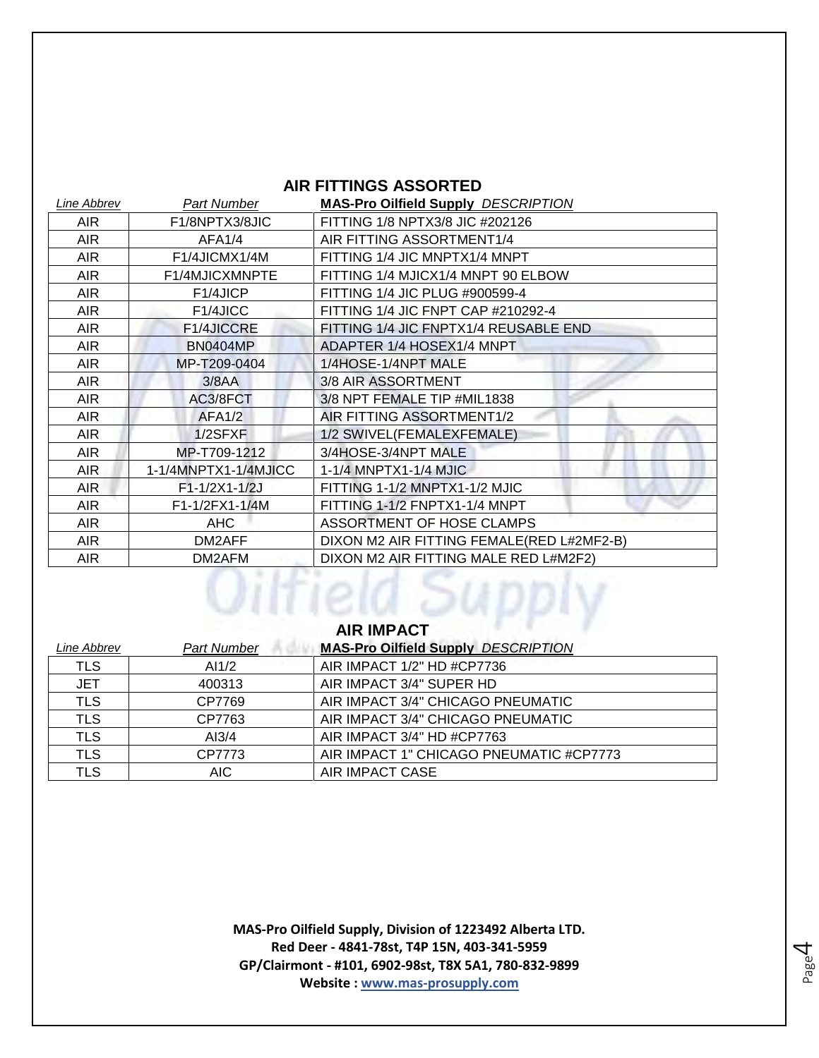### **AIR FITTINGS ASSORTED**

| <b>Line Abbrev</b> | <b>Part Number</b>                      | <b>MAS-Pro Oilfield Supply DESCRIPTION</b> |
|--------------------|-----------------------------------------|--------------------------------------------|
| <b>AIR</b>         | F1/8NPTX3/8JIC                          | FITTING 1/8 NPTX3/8 JIC #202126            |
| <b>AIR</b>         | AFA1/4                                  | AIR FITTING ASSORTMENT1/4                  |
| AIR.               | F <sub>1</sub> /4JICMX <sub>1</sub> /4M | FITTING 1/4 JIC MNPTX1/4 MNPT              |
| <b>AIR</b>         | F1/4MJICXMNPTE                          | FITTING 1/4 MJICX1/4 MNPT 90 ELBOW         |
| AIR.               | F <sub>1</sub> /4JICP                   | FITTING 1/4 JIC PLUG #900599-4             |
| AIR.               | F1/4JICC                                | FITTING 1/4 JIC FNPT CAP #210292-4         |
| AIR.               | F1/4JICCRE                              | FITTING 1/4 JIC FNPTX1/4 REUSABLE END      |
| AIR.               | <b>BN0404MP</b>                         | ADAPTER 1/4 HOSEX1/4 MNPT                  |
| AIR.               | MP-T209-0404                            | 1/4HOSE-1/4NPT MALE                        |
| AIR.               | 3/8AA                                   | 3/8 AIR ASSORTMENT                         |
| <b>AIR</b>         | AC3/8FCT                                | 3/8 NPT FEMALE TIP #MIL1838                |
| AIR.               | AFA1/2                                  | AIR FITTING ASSORTMENT1/2                  |
| AIR.               | 1/2SFXF                                 | 1/2 SWIVEL(FEMALEXFEMALE)                  |
| <b>AIR</b>         | MP-T709-1212                            | 3/4HOSE-3/4NPT MALE                        |
| AIR.               | 1-1/4MNPTX1-1/4MJICC                    | 1-1/4 MNPTX1-1/4 MJIC                      |
| <b>AIR</b>         | F1-1/2X1-1/2J                           | FITTING 1-1/2 MNPTX1-1/2 MJIC              |
| <b>AIR</b>         | F1-1/2FX1-1/4M                          | FITTING 1-1/2 FNPTX1-1/4 MNPT              |
| AIR.               | <b>AHC</b>                              | ASSORTMENT OF HOSE CLAMPS                  |
| AIR.               | DM2AFF                                  | DIXON M2 AIR FITTING FEMALE(RED L#2MF2-B)  |
| <b>AIR</b>         | DM2AFM                                  | DIXON M2 AIR FITTING MALE RED L#M2F2)      |
| <b>AIR IMPACT</b>  |                                         |                                            |

| Line Abbrev | <b>Part Number</b> | <b>MAS-Pro Oilfield Supply DESCRIPTION</b> |
|-------------|--------------------|--------------------------------------------|
| <b>TLS</b>  | AI1/2              | AIR IMPACT 1/2" HD #CP7736                 |
| <b>JET</b>  | 400313             | AIR IMPACT 3/4" SUPER HD                   |
| <b>TLS</b>  | CP7769             | AIR IMPACT 3/4" CHICAGO PNEUMATIC          |
| <b>TLS</b>  | CP7763             | AIR IMPACT 3/4" CHICAGO PNEUMATIC          |
| <b>TLS</b>  | AI3/4              | AIR IMPACT 3/4" HD #CP7763                 |
| <b>TLS</b>  | CP7773             | AIR IMPACT 1" CHICAGO PNEUMATIC #CP7773    |
| TLS         | AIC.               | AIR IMPACT CASE                            |

**MAS-Pro Oilfield Supply, Division of 1223492 Alberta LTD. Red Deer - 4841-78st, T4P 15N, 403-341-5959 GP/Clairmont - #101, 6902-98st, T8X 5A1, 780-832-9899 Website : www.mas-prosupply.com**

Page 4